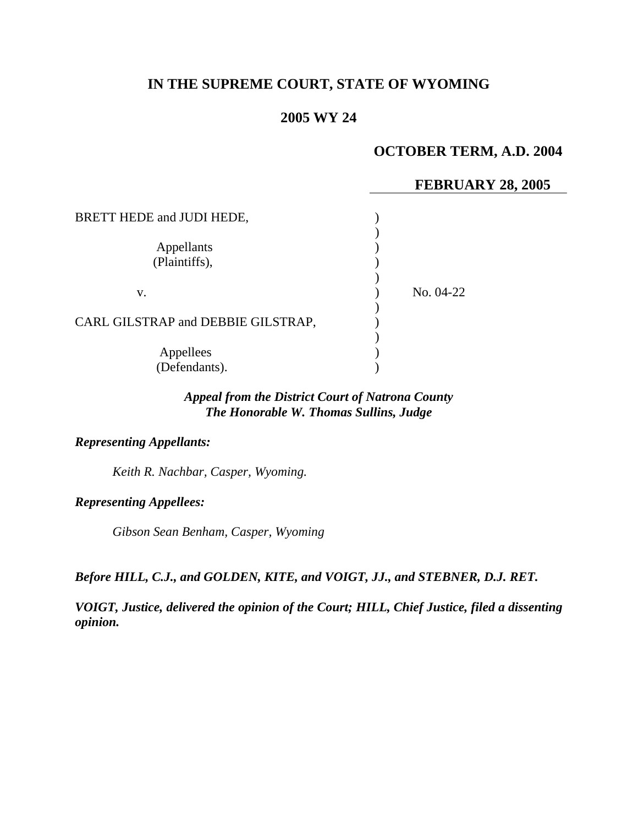# **IN THE SUPREME COURT, STATE OF WYOMING**

# **2005 WY 24**

# **OCTOBER TERM, A.D. 2004**

# **FEBRUARY 28, 2005**

| BRETT HEDE and JUDI HEDE,          |             |
|------------------------------------|-------------|
| Appellants<br>(Plaintiffs),        |             |
| V.                                 | No. $04-22$ |
| CARL GILSTRAP and DEBBIE GILSTRAP, |             |
| Appellees<br>(Defendants).         |             |

# *Appeal from the District Court of Natrona County The Honorable W. Thomas Sullins, Judge*

## *Representing Appellants:*

*Keith R. Nachbar, Casper, Wyoming.* 

*Representing Appellees:*

*Gibson Sean Benham, Casper, Wyoming* 

*Before HILL, C.J., and GOLDEN, KITE, and VOIGT, JJ., and STEBNER, D.J. RET.* 

*VOIGT, Justice, delivered the opinion of the Court; HILL, Chief Justice, filed a dissenting opinion.*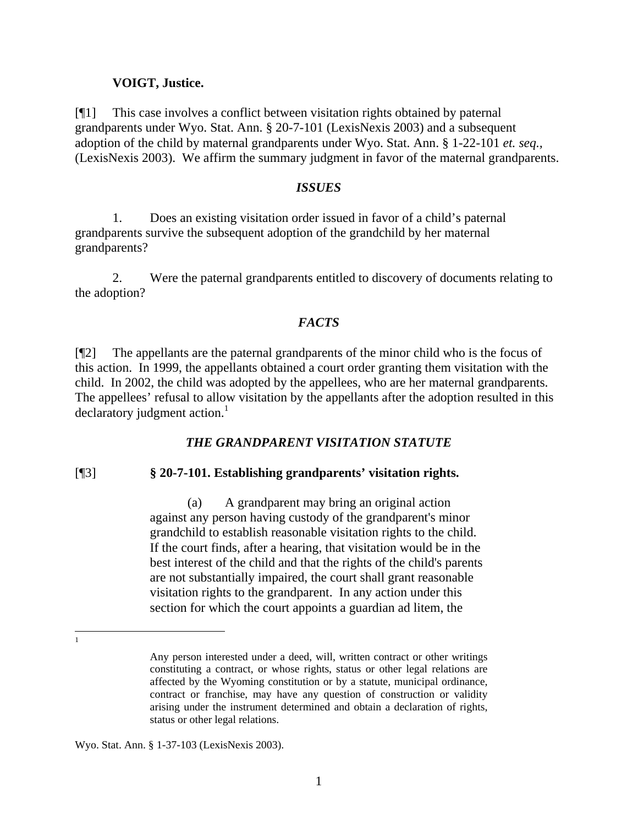### **VOIGT, Justice.**

[¶1] This case involves a conflict between visitation rights obtained by paternal grandparents under Wyo. Stat. Ann. § 20-7-101 (LexisNexis 2003) and a subsequent adoption of the child by maternal grandparents under Wyo. Stat. Ann. § 1-22-101 *et. seq.,*  (LexisNexis 2003). We affirm the summary judgment in favor of the maternal grandparents.

#### *ISSUES*

1. Does an existing visitation order issued in favor of a child's paternal grandparents survive the subsequent adoption of the grandchild by her maternal grandparents?

2. Were the paternal grandparents entitled to discovery of documents relating to the adoption?

### *FACTS*

[¶2] The appellants are the paternal grandparents of the minor child who is the focus of this action. In 1999, the appellants obtained a court order granting them visitation with the child. In 2002, the child was adopted by the appellees, who are her maternal grandparents. The appellees' refusal to allow visitation by the appellants after the adoption resulted in this  $\alpha$  declaratory judgment action.<sup>[1](#page-1-0)</sup>

## *THE GRANDPARENT VISITATION STATUTE*

## [¶3] **§ 20-7-101. Establishing grandparents' visitation rights.**

(a) A grandparent may bring an original action against any person having custody of the grandparent's minor grandchild to establish reasonable visitation rights to the child. If the court finds, after a hearing, that visitation would be in the best interest of the child and that the rights of the child's parents are not substantially impaired, the court shall grant reasonable visitation rights to the grandparent. In any action under this section for which the court appoints a guardian ad litem, the

Wyo. Stat. Ann. § 1-37-103 (LexisNexis 2003).

<span id="page-1-0"></span> $\overline{a}$ 1

Any person interested under a deed, will, written contract or other writings constituting a contract, or whose rights, status or other legal relations are affected by the Wyoming constitution or by a statute, municipal ordinance, contract or franchise, may have any question of construction or validity arising under the instrument determined and obtain a declaration of rights, status or other legal relations.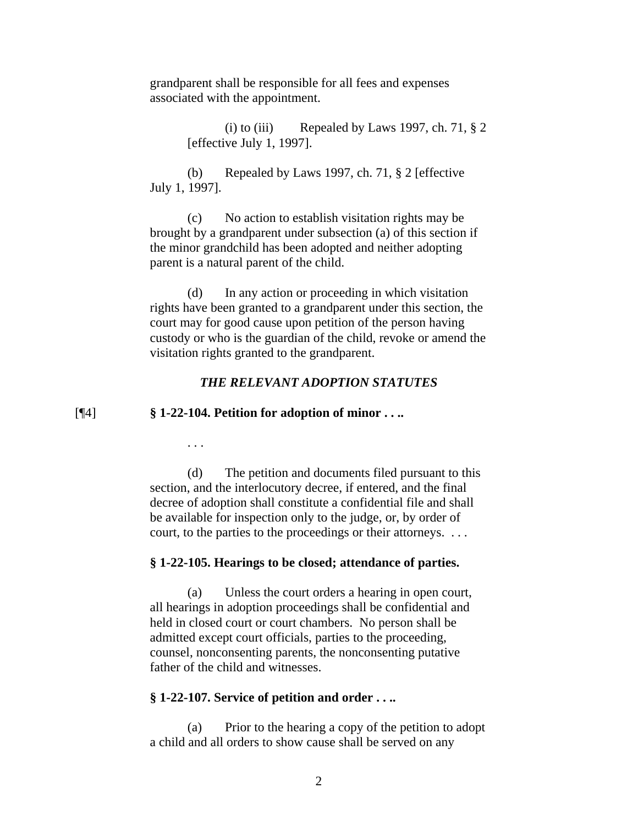grandparent shall be responsible for all fees and expenses associated with the appointment.

> (i) to (iii) Repealed by Laws 1997, ch. 71,  $\S 2$ [effective July 1, 1997].

(b) Repealed by Laws 1997, ch. 71, § 2 [effective July 1, 1997].

(c) No action to establish visitation rights may be brought by a grandparent under subsection (a) of this section if the minor grandchild has been adopted and neither adopting parent is a natural parent of the child.

(d) In any action or proceeding in which visitation rights have been granted to a grandparent under this section, the court may for good cause upon petition of the person having custody or who is the guardian of the child, revoke or amend the visitation rights granted to the grandparent.

#### *THE RELEVANT ADOPTION STATUTES*

#### [¶4] **§ 1-22-104. Petition for adoption of minor . . ..**

. . .

(d) The petition and documents filed pursuant to this section, and the interlocutory decree, if entered, and the final decree of adoption shall constitute a confidential file and shall be available for inspection only to the judge, or, by order of court, to the parties to the proceedings or their attorneys. . . .

#### **§ 1-22-105. Hearings to be closed; attendance of parties.**

(a) Unless the court orders a hearing in open court, all hearings in adoption proceedings shall be confidential and held in closed court or court chambers. No person shall be admitted except court officials, parties to the proceeding, counsel, nonconsenting parents, the nonconsenting putative father of the child and witnesses.

#### **§ 1-22-107. Service of petition and order . . ..**

(a) Prior to the hearing a copy of the petition to adopt a child and all orders to show cause shall be served on any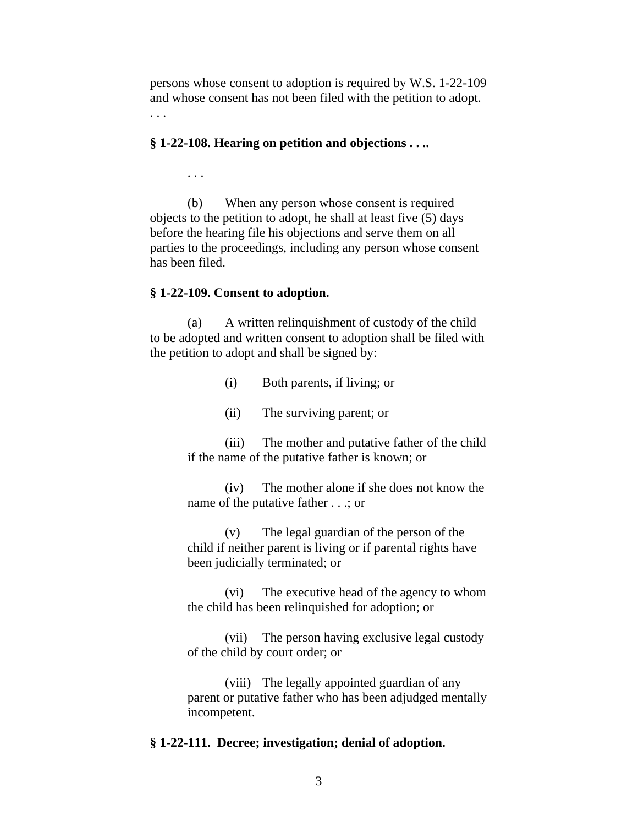persons whose consent to adoption is required by W.S. 1-22-109 and whose consent has not been filed with the petition to adopt. . . .

#### **§ 1-22-108. Hearing on petition and objections . . ..**

. . .

(b) When any person whose consent is required objects to the petition to adopt, he shall at least five (5) days before the hearing file his objections and serve them on all parties to the proceedings, including any person whose consent has been filed.

#### **§ 1-22-109. Consent to adoption.**

(a) A written relinquishment of custody of the child to be adopted and written consent to adoption shall be filed with the petition to adopt and shall be signed by:

(i) Both parents, if living; or

(ii) The surviving parent; or

(iii) The mother and putative father of the child if the name of the putative father is known; or

(iv) The mother alone if she does not know the name of the putative father . . .; or

(v) The legal guardian of the person of the child if neither parent is living or if parental rights have been judicially terminated; or

(vi) The executive head of the agency to whom the child has been relinquished for adoption; or

(vii) The person having exclusive legal custody of the child by court order; or

(viii) The legally appointed guardian of any parent or putative father who has been adjudged mentally incompetent.

#### **§ 1-22-111. Decree; investigation; denial of adoption.**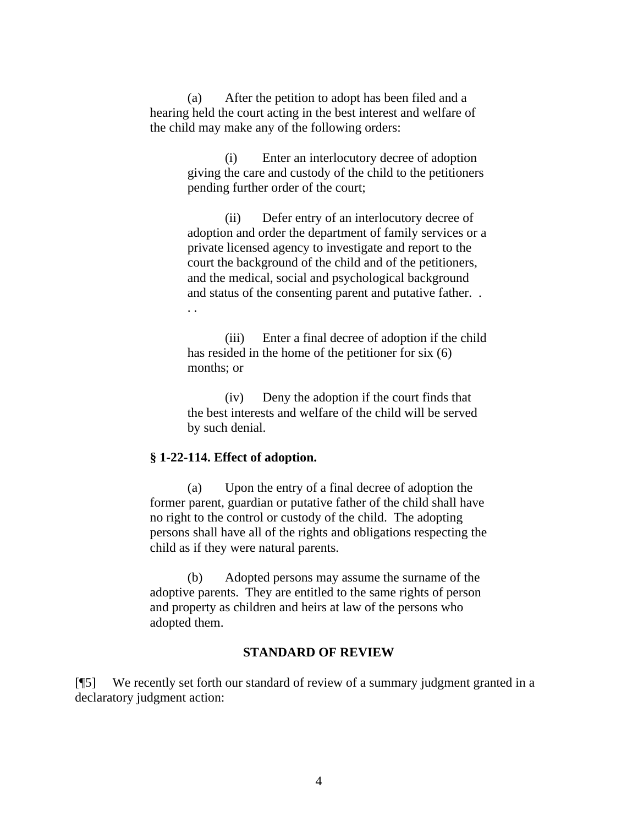(a) After the petition to adopt has been filed and a hearing held the court acting in the best interest and welfare of the child may make any of the following orders:

> (i) Enter an interlocutory decree of adoption giving the care and custody of the child to the petitioners pending further order of the court;

(ii) Defer entry of an interlocutory decree of adoption and order the department of family services or a private licensed agency to investigate and report to the court the background of the child and of the petitioners, and the medical, social and psychological background and status of the consenting parent and putative father. . . .

(iii) Enter a final decree of adoption if the child has resided in the home of the petitioner for six (6) months; or

(iv) Deny the adoption if the court finds that the best interests and welfare of the child will be served by such denial.

## **§ 1-22-114. Effect of adoption.**

(a) Upon the entry of a final decree of adoption the former parent, guardian or putative father of the child shall have no right to the control or custody of the child. The adopting persons shall have all of the rights and obligations respecting the child as if they were natural parents.

(b) Adopted persons may assume the surname of the adoptive parents. They are entitled to the same rights of person and property as children and heirs at law of the persons who adopted them.

## **STANDARD OF REVIEW**

[¶5] We recently set forth our standard of review of a summary judgment granted in a declaratory judgment action: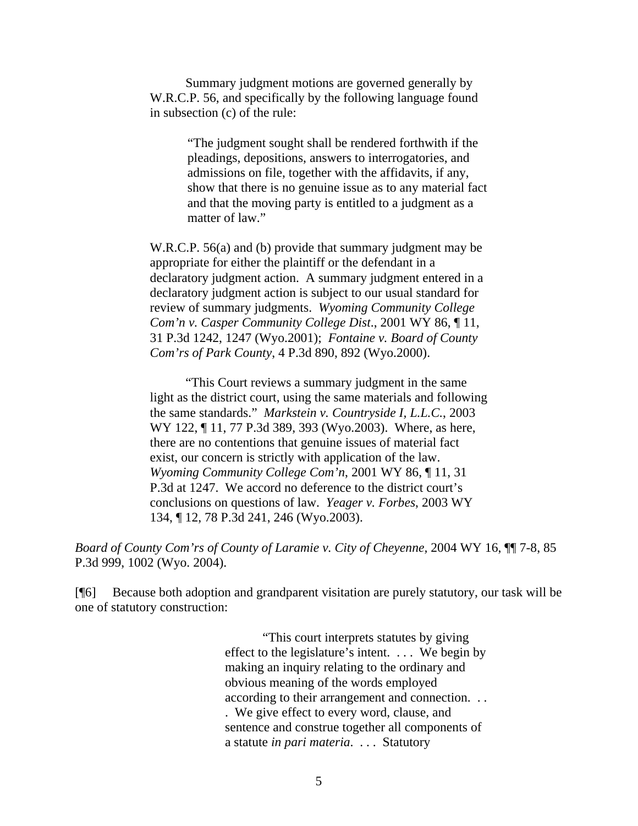Summary judgment motions are governed generally by W.R.C.P. 56, and specifically by the following language found in subsection (c) of the rule:

> "The judgment sought shall be rendered forthwith if the pleadings, depositions, answers to interrogatories, and admissions on file, together with the affidavits, if any, show that there is no genuine issue as to any material fact and that the moving party is entitled to a judgment as a matter of law."

W.R.C.P. 56(a) and (b) provide that summary judgment may be appropriate for either the plaintiff or the defendant in a declaratory judgment action. A summary judgment entered in a declaratory judgment action is subject to our usual standard for review of summary judgments. *Wyoming Community College Com'n v. Casper Community College Dist*., 2001 WY 86, ¶ 11, 31 P.3d 1242, 1247 (Wyo.2001); *Fontaine v. Board of County Com'rs of Park County*, 4 P.3d 890, 892 (Wyo.2000).

"This Court reviews a summary judgment in the same light as the district court, using the same materials and following the same standards." *Markstein v. Countryside I, L.L.C.*, 2003 WY 122, ¶ 11, 77 P.3d 389, 393 (Wyo.2003). Where, as here, there are no contentions that genuine issues of material fact exist, our concern is strictly with application of the law. *Wyoming Community College Com'n*, 2001 WY 86, ¶ 11, 31 P.3d at 1247. We accord no deference to the district court's conclusions on questions of law. *Yeager v. Forbes*, 2003 WY 134, ¶ 12, 78 P.3d 241, 246 (Wyo.2003).

*Board of County Com'rs of County of Laramie v. City of Cheyenne,* 2004 WY 16, ¶¶ 7-8, 85 P.3d 999, 1002 (Wyo. 2004).

[¶6] Because both adoption and grandparent visitation are purely statutory, our task will be one of statutory construction:

> "This court interprets statutes by giving effect to the legislature's intent. . . . We begin by making an inquiry relating to the ordinary and obvious meaning of the words employed according to their arrangement and connection. . . . We give effect to every word, clause, and sentence and construe together all components of a statute *in pari materia*. . . . Statutory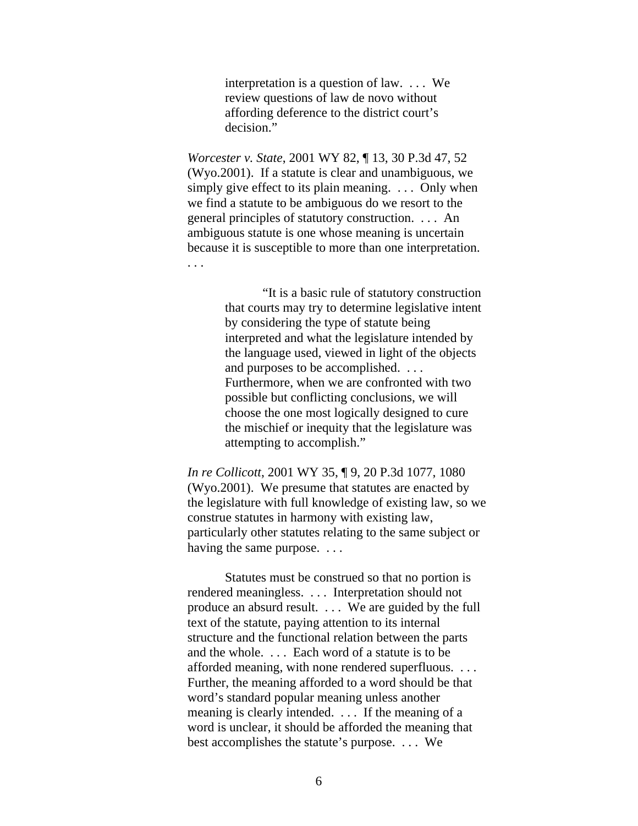interpretation is a question of law. . . . We review questions of law de novo without affording deference to the district court's decision."

*Worcester v. State*, 2001 WY 82, ¶ 13, 30 P.3d 47, 52 (Wyo.2001). If a statute is clear and unambiguous, we simply give effect to its plain meaning. . . . Only when we find a statute to be ambiguous do we resort to the general principles of statutory construction. . . . An ambiguous statute is one whose meaning is uncertain because it is susceptible to more than one interpretation. . . .

> "It is a basic rule of statutory construction that courts may try to determine legislative intent by considering the type of statute being interpreted and what the legislature intended by the language used, viewed in light of the objects and purposes to be accomplished. . . . Furthermore, when we are confronted with two possible but conflicting conclusions, we will choose the one most logically designed to cure the mischief or inequity that the legislature was attempting to accomplish."

*In re Collicott*, 2001 WY 35, ¶ 9, 20 P.3d 1077, 1080 (Wyo.2001). We presume that statutes are enacted by the legislature with full knowledge of existing law, so we construe statutes in harmony with existing law, particularly other statutes relating to the same subject or having the same purpose. ...

Statutes must be construed so that no portion is rendered meaningless. . . . Interpretation should not produce an absurd result. . . . We are guided by the full text of the statute, paying attention to its internal structure and the functional relation between the parts and the whole. . . . Each word of a statute is to be afforded meaning, with none rendered superfluous. . . . Further, the meaning afforded to a word should be that word's standard popular meaning unless another meaning is clearly intended. . . . If the meaning of a word is unclear, it should be afforded the meaning that best accomplishes the statute's purpose. . . . We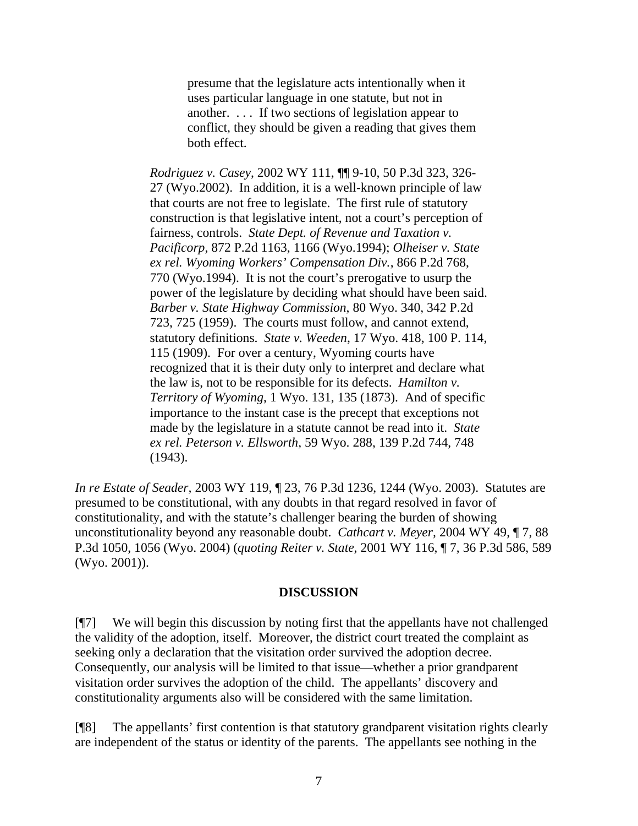presume that the legislature acts intentionally when it uses particular language in one statute, but not in another. . . . If two sections of legislation appear to conflict, they should be given a reading that gives them both effect.

*Rodriguez v. Casey*, 2002 WY 111, ¶¶ 9-10, 50 P.3d 323, 326- 27 (Wyo.2002). In addition, it is a well-known principle of law that courts are not free to legislate. The first rule of statutory construction is that legislative intent, not a court's perception of fairness, controls. *State Dept. of Revenue and Taxation v. Pacificorp*, 872 P.2d 1163, 1166 (Wyo.1994); *Olheiser v. State ex rel. Wyoming Workers' Compensation Div.*, 866 P.2d 768, 770 (Wyo.1994). It is not the court's prerogative to usurp the power of the legislature by deciding what should have been said. *Barber v. State Highway Commission*, 80 Wyo. 340, 342 P.2d 723, 725 (1959). The courts must follow, and cannot extend, statutory definitions. *State v. Weeden*, 17 Wyo. 418, 100 P. 114, 115 (1909). For over a century, Wyoming courts have recognized that it is their duty only to interpret and declare what the law is, not to be responsible for its defects. *Hamilton v. Territory of Wyoming*, 1 Wyo. 131, 135 (1873). And of specific importance to the instant case is the precept that exceptions not made by the legislature in a statute cannot be read into it. *State ex rel. Peterson v. Ellsworth*, 59 Wyo. 288, 139 P.2d 744, 748 (1943).

*In re Estate of Seader,* 2003 WY 119, ¶ 23, 76 P.3d 1236, 1244 (Wyo. 2003). Statutes are presumed to be constitutional, with any doubts in that regard resolved in favor of constitutionality, and with the statute's challenger bearing the burden of showing unconstitutionality beyond any reasonable doubt. *Cathcart v. Meyer,* 2004 WY 49, ¶ 7, 88 P.3d 1050, 1056 (Wyo. 2004) (*quoting Reiter v. State*, 2001 WY 116, ¶ 7, 36 P.3d 586, 589 (Wyo. 2001)).

#### **DISCUSSION**

[¶7] We will begin this discussion by noting first that the appellants have not challenged the validity of the adoption, itself. Moreover, the district court treated the complaint as seeking only a declaration that the visitation order survived the adoption decree. Consequently, our analysis will be limited to that issue—whether a prior grandparent visitation order survives the adoption of the child. The appellants' discovery and constitutionality arguments also will be considered with the same limitation.

[¶8] The appellants' first contention is that statutory grandparent visitation rights clearly are independent of the status or identity of the parents. The appellants see nothing in the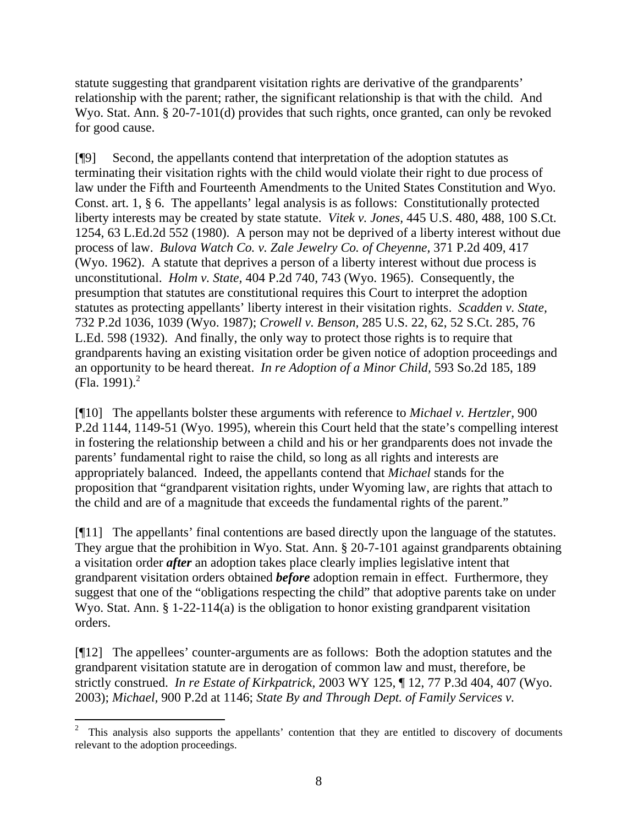statute suggesting that grandparent visitation rights are derivative of the grandparents' relationship with the parent; rather, the significant relationship is that with the child. And Wyo. Stat. Ann. § 20-7-101(d) provides that such rights, once granted, can only be revoked for good cause.

[¶9] Second, the appellants contend that interpretation of the adoption statutes as terminating their visitation rights with the child would violate their right to due process of law under the Fifth and Fourteenth Amendments to the United States Constitution and Wyo. Const. art. 1, § 6. The appellants' legal analysis is as follows: Constitutionally protected liberty interests may be created by state statute. *Vitek v. Jones,* 445 U.S. 480, 488, 100 S.Ct. 1254, 63 L.Ed.2d 552 (1980). A person may not be deprived of a liberty interest without due process of law. *Bulova Watch Co. v. Zale Jewelry Co. of Cheyenne,* 371 P.2d 409, 417 (Wyo. 1962). A statute that deprives a person of a liberty interest without due process is unconstitutional. *Holm v. State,* 404 P.2d 740, 743 (Wyo. 1965). Consequently, the presumption that statutes are constitutional requires this Court to interpret the adoption statutes as protecting appellants' liberty interest in their visitation rights. *Scadden v. State,*  732 P.2d 1036, 1039 (Wyo. 1987); *Crowell v. Benson,* 285 U.S. 22, 62, 52 S.Ct. 285, 76 L.Ed. 598 (1932). And finally, the only way to protect those rights is to require that grandparents having an existing visitation order be given notice of adoption proceedings and an opportunity to be heard thereat. *In re Adoption of a Minor Child,* 593 So.2d 185, 189 (Fla. 1991). $^2$  $^2$ 

[¶10] The appellants bolster these arguments with reference to *Michael v. Hertzler,* 900 P.2d 1144, 1149-51 (Wyo. 1995), wherein this Court held that the state's compelling interest in fostering the relationship between a child and his or her grandparents does not invade the parents' fundamental right to raise the child, so long as all rights and interests are appropriately balanced. Indeed, the appellants contend that *Michael* stands for the proposition that "grandparent visitation rights, under Wyoming law, are rights that attach to the child and are of a magnitude that exceeds the fundamental rights of the parent."

[¶11] The appellants' final contentions are based directly upon the language of the statutes. They argue that the prohibition in Wyo. Stat. Ann. § 20-7-101 against grandparents obtaining a visitation order *after* an adoption takes place clearly implies legislative intent that grandparent visitation orders obtained *before* adoption remain in effect. Furthermore, they suggest that one of the "obligations respecting the child" that adoptive parents take on under Wyo. Stat. Ann. § 1-22-114(a) is the obligation to honor existing grandparent visitation orders.

[¶12] The appellees' counter-arguments are as follows: Both the adoption statutes and the grandparent visitation statute are in derogation of common law and must, therefore, be strictly construed. *In re Estate of Kirkpatrick,* 2003 WY 125, ¶ 12, 77 P.3d 404, 407 (Wyo. 2003); *Michael,* 900 P.2d at 1146; *State By and Through Dept. of Family Services v.* 

<span id="page-8-0"></span> $\frac{1}{2}$  This analysis also supports the appellants' contention that they are entitled to discovery of documents relevant to the adoption proceedings.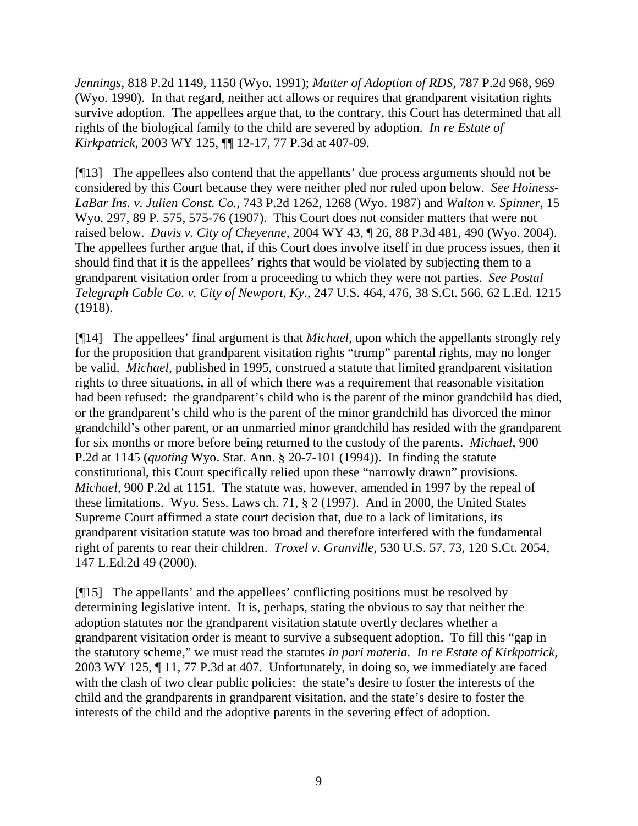*Jennings,* 818 P.2d 1149, 1150 (Wyo. 1991); *Matter of Adoption of RDS,* 787 P.2d 968, 969 (Wyo. 1990). In that regard, neither act allows or requires that grandparent visitation rights survive adoption. The appellees argue that, to the contrary, this Court has determined that all rights of the biological family to the child are severed by adoption. *In re Estate of Kirkpatrick,* 2003 WY 125, ¶¶ 12-17, 77 P.3d at 407-09.

[¶13] The appellees also contend that the appellants' due process arguments should not be considered by this Court because they were neither pled nor ruled upon below. *See Hoiness-LaBar Ins. v. Julien Const. Co.,* 743 P.2d 1262, 1268 (Wyo. 1987) and *Walton v. Spinner,* 15 Wyo. 297, 89 P. 575, 575-76 (1907). This Court does not consider matters that were not raised below. *Davis v. City of Cheyenne,* 2004 WY 43, ¶ 26, 88 P.3d 481, 490 (Wyo. 2004). The appellees further argue that, if this Court does involve itself in due process issues, then it should find that it is the appellees' rights that would be violated by subjecting them to a grandparent visitation order from a proceeding to which they were not parties. *See Postal Telegraph Cable Co. v. City of Newport, Ky.,* 247 U.S. 464, 476, 38 S.Ct. 566, 62 L.Ed. 1215 (1918).

[¶14] The appellees' final argument is that *Michael*, upon which the appellants strongly rely for the proposition that grandparent visitation rights "trump" parental rights, may no longer be valid. *Michael,* published in 1995, construed a statute that limited grandparent visitation rights to three situations, in all of which there was a requirement that reasonable visitation had been refused: the grandparent's child who is the parent of the minor grandchild has died, or the grandparent's child who is the parent of the minor grandchild has divorced the minor grandchild's other parent, or an unmarried minor grandchild has resided with the grandparent for six months or more before being returned to the custody of the parents. *Michael*, 900 P.2d at 1145 (*quoting* Wyo. Stat. Ann. § 20-7-101 (1994)). In finding the statute constitutional, this Court specifically relied upon these "narrowly drawn" provisions. *Michael*, 900 P.2d at 1151. The statute was, however, amended in 1997 by the repeal of these limitations. Wyo. Sess. Laws ch. 71, § 2 (1997). And in 2000, the United States Supreme Court affirmed a state court decision that, due to a lack of limitations, its grandparent visitation statute was too broad and therefore interfered with the fundamental right of parents to rear their children. *Troxel v. Granville,* 530 U.S. 57, 73, 120 S.Ct. 2054, 147 L.Ed.2d 49 (2000).

[¶15] The appellants' and the appellees' conflicting positions must be resolved by determining legislative intent. It is, perhaps, stating the obvious to say that neither the adoption statutes nor the grandparent visitation statute overtly declares whether a grandparent visitation order is meant to survive a subsequent adoption. To fill this "gap in the statutory scheme," we must read the statutes *in pari materia. In re Estate of Kirkpatrick,*  2003 WY 125, ¶ 11, 77 P.3d at 407. Unfortunately, in doing so, we immediately are faced with the clash of two clear public policies: the state's desire to foster the interests of the child and the grandparents in grandparent visitation, and the state's desire to foster the interests of the child and the adoptive parents in the severing effect of adoption.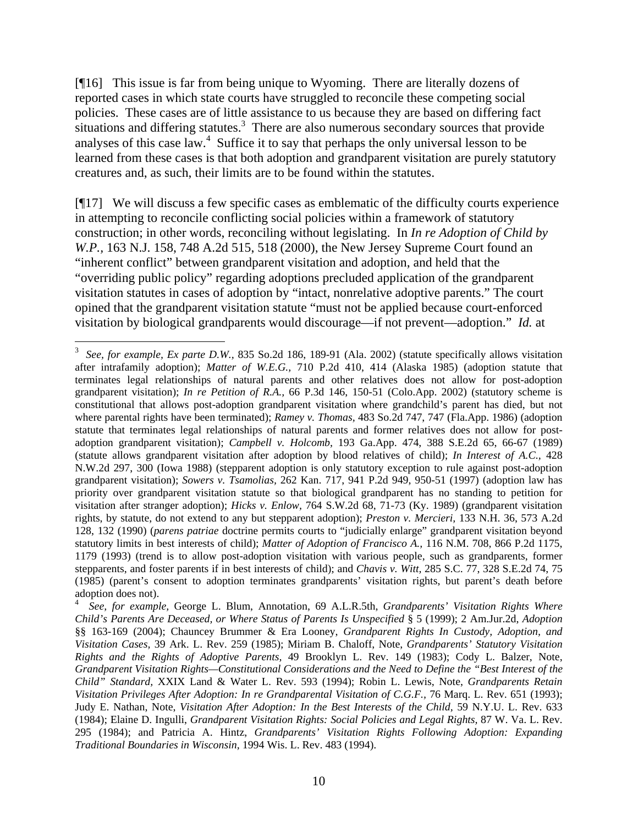[¶16] This issue is far from being unique to Wyoming. There are literally dozens of reported cases in which state courts have struggled to reconcile these competing social policies. These cases are of little assistance to us because they are based on differing fact  $\sin$  situations and differing statutes.<sup>[3](#page-10-0)</sup> There are also numerous secondary sources that provide analyses of this case law.<sup>[4](#page-10-1)</sup> Suffice it to say that perhaps the only universal lesson to be learned from these cases is that both adoption and grandparent visitation are purely statutory creatures and, as such, their limits are to be found within the statutes.

[¶17] We will discuss a few specific cases as emblematic of the difficulty courts experience in attempting to reconcile conflicting social policies within a framework of statutory construction; in other words, reconciling without legislating. In *In re Adoption of Child by W.P.*, 163 N.J. 158, 748 A.2d 515, 518 (2000), the New Jersey Supreme Court found an "inherent conflict" between grandparent visitation and adoption, and held that the "overriding public policy" regarding adoptions precluded application of the grandparent visitation statutes in cases of adoption by "intact, nonrelative adoptive parents." The court opined that the grandparent visitation statute "must not be applied because court-enforced visitation by biological grandparents would discourage—if not prevent—adoption." *Id.* at

<span id="page-10-0"></span><sup>3</sup> *See, for example, Ex parte D.W.,* 835 So.2d 186, 189-91 (Ala. 2002) (statute specifically allows visitation after intrafamily adoption); *Matter of W.E.G.,* 710 P.2d 410, 414 (Alaska 1985) (adoption statute that terminates legal relationships of natural parents and other relatives does not allow for post-adoption grandparent visitation); *In re Petition of R.A.,* 66 P.3d 146, 150-51 (Colo.App. 2002) (statutory scheme is constitutional that allows post-adoption grandparent visitation where grandchild's parent has died, but not where parental rights have been terminated); *Ramey v. Thomas,* 483 So.2d 747, 747 (Fla.App. 1986) (adoption statute that terminates legal relationships of natural parents and former relatives does not allow for postadoption grandparent visitation); *Campbell v. Holcomb,* 193 Ga.App. 474, 388 S.E.2d 65, 66-67 (1989) (statute allows grandparent visitation after adoption by blood relatives of child); *In Interest of A.C.,* 428 N.W.2d 297, 300 (Iowa 1988) (stepparent adoption is only statutory exception to rule against post-adoption grandparent visitation); *Sowers v. Tsamolias,* 262 Kan. 717, 941 P.2d 949, 950-51 (1997) (adoption law has priority over grandparent visitation statute so that biological grandparent has no standing to petition for visitation after stranger adoption); *Hicks v. Enlow,* 764 S.W.2d 68, 71-73 (Ky. 1989) (grandparent visitation rights, by statute, do not extend to any but stepparent adoption); *Preston v. Mercieri,* 133 N.H. 36, 573 A.2d 128, 132 (1990) (*parens patriae* doctrine permits courts to "judicially enlarge" grandparent visitation beyond statutory limits in best interests of child); *Matter of Adoption of Francisco A.,* 116 N.M. 708, 866 P.2d 1175, 1179 (1993) (trend is to allow post-adoption visitation with various people, such as grandparents, former stepparents, and foster parents if in best interests of child); and *Chavis v. Witt,* 285 S.C. 77, 328 S.E.2d 74, 75 (1985) (parent's consent to adoption terminates grandparents' visitation rights, but parent's death before adoption does not).

<span id="page-10-1"></span><sup>4</sup> *See, for example,* George L. Blum, Annotation, 69 A.L.R.5th, *Grandparents' Visitation Rights Where Child's Parents Are Deceased, or Where Status of Parents Is Unspecified* § 5 (1999); 2 Am.Jur.2d, *Adoption* §§ 163-169 (2004); Chauncey Brummer & Era Looney, *Grandparent Rights In Custody, Adoption, and Visitation Cases,* 39 Ark. L. Rev. 259 (1985); Miriam B. Chaloff, Note, *Grandparents' Statutory Visitation Rights and the Rights of Adoptive Parents,* 49 Brooklyn L. Rev. 149 (1983); Cody L. Balzer, Note, *Grandparent Visitation Rights—Constitutional Considerations and the Need to Define the "Best Interest of the Child" Standard,* XXIX Land & Water L. Rev. 593 (1994); Robin L. Lewis, Note, *Grandparents Retain Visitation Privileges After Adoption: In re Grandparental Visitation of C.G.F., 76 Marq. L. Rev. 651 (1993);* Judy E. Nathan, Note, *Visitation After Adoption: In the Best Interests of the Child,* 59 N.Y.U. L. Rev. 633 (1984); Elaine D. Ingulli, *Grandparent Visitation Rights: Social Policies and Legal Rights,* 87 W. Va. L. Rev. 295 (1984); and Patricia A. Hintz, *Grandparents' Visitation Rights Following Adoption: Expanding Traditional Boundaries in Wisconsin,* 1994 Wis. L. Rev. 483 (1994).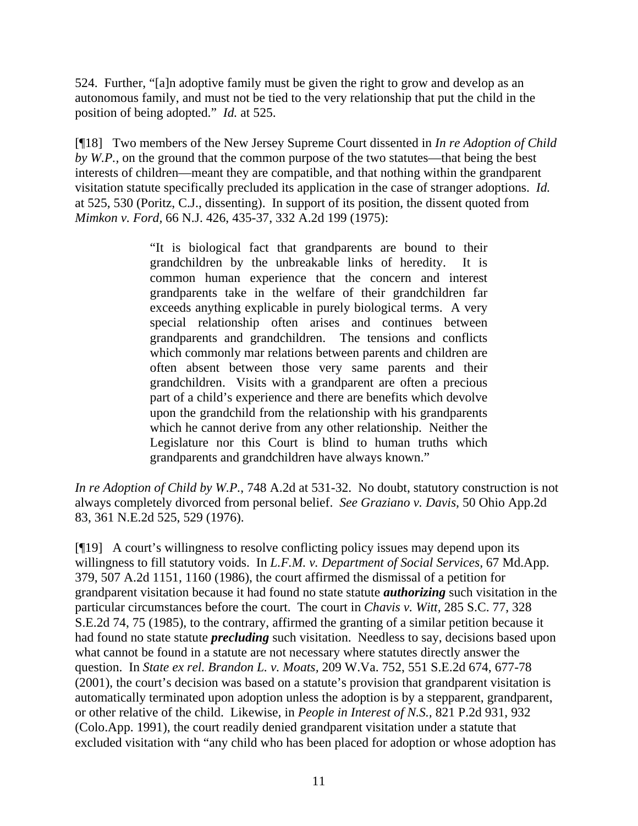524. Further, "[a]n adoptive family must be given the right to grow and develop as an autonomous family, and must not be tied to the very relationship that put the child in the position of being adopted." *Id.* at 525.

[¶18] Two members of the New Jersey Supreme Court dissented in *In re Adoption of Child by W.P.,* on the ground that the common purpose of the two statutes—that being the best interests of children—meant they are compatible, and that nothing within the grandparent visitation statute specifically precluded its application in the case of stranger adoptions. *Id.* at 525, 530 (Poritz, C.J., dissenting). In support of its position, the dissent quoted from *Mimkon v. Ford,* 66 N.J. 426, 435-37, 332 A.2d 199 (1975):

> "It is biological fact that grandparents are bound to their grandchildren by the unbreakable links of heredity. It is common human experience that the concern and interest grandparents take in the welfare of their grandchildren far exceeds anything explicable in purely biological terms. A very special relationship often arises and continues between grandparents and grandchildren. The tensions and conflicts which commonly mar relations between parents and children are often absent between those very same parents and their grandchildren. Visits with a grandparent are often a precious part of a child's experience and there are benefits which devolve upon the grandchild from the relationship with his grandparents which he cannot derive from any other relationship. Neither the Legislature nor this Court is blind to human truths which grandparents and grandchildren have always known."

*In re Adoption of Child by W.P.*, 748 A.2d at 531-32. No doubt, statutory construction is not always completely divorced from personal belief. *See Graziano v. Davis,* 50 Ohio App.2d 83, 361 N.E.2d 525, 529 (1976).

[¶19] A court's willingness to resolve conflicting policy issues may depend upon its willingness to fill statutory voids. In *L.F.M. v. Department of Social Services,* 67 Md.App. 379, 507 A.2d 1151, 1160 (1986), the court affirmed the dismissal of a petition for grandparent visitation because it had found no state statute *authorizing* such visitation in the particular circumstances before the court. The court in *Chavis v. Witt,* 285 S.C. 77, 328 S.E.2d 74, 75 (1985), to the contrary, affirmed the granting of a similar petition because it had found no state statute *precluding* such visitation. Needless to say, decisions based upon what cannot be found in a statute are not necessary where statutes directly answer the question. In *State ex rel. Brandon L. v. Moats,* 209 W.Va. 752, 551 S.E.2d 674, 677-78 (2001), the court's decision was based on a statute's provision that grandparent visitation is automatically terminated upon adoption unless the adoption is by a stepparent, grandparent, or other relative of the child. Likewise, in *People in Interest of N.S.,* 821 P.2d 931, 932 (Colo.App. 1991), the court readily denied grandparent visitation under a statute that excluded visitation with "any child who has been placed for adoption or whose adoption has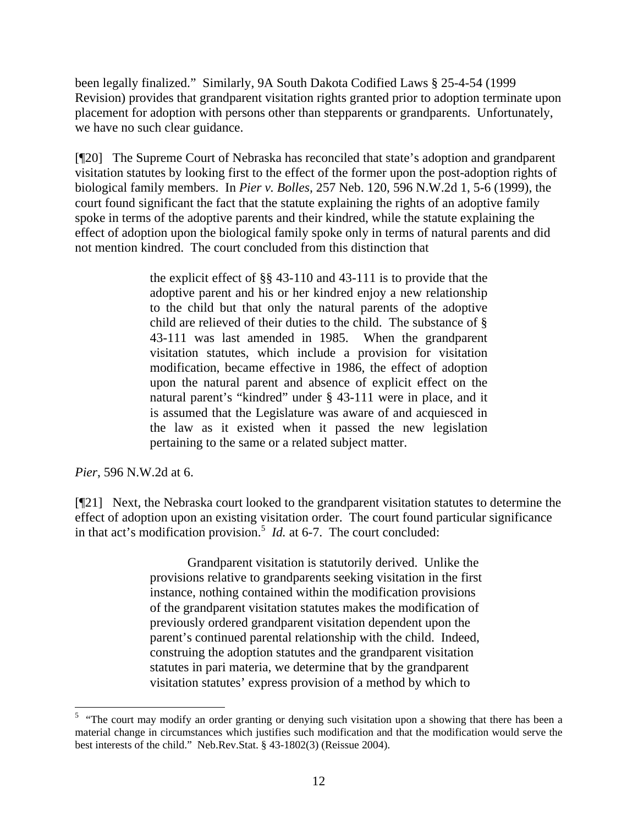been legally finalized." Similarly, 9A South Dakota Codified Laws § 25-4-54 (1999 Revision) provides that grandparent visitation rights granted prior to adoption terminate upon placement for adoption with persons other than stepparents or grandparents. Unfortunately, we have no such clear guidance.

[¶20] The Supreme Court of Nebraska has reconciled that state's adoption and grandparent visitation statutes by looking first to the effect of the former upon the post-adoption rights of biological family members. In *Pier v. Bolles,* 257 Neb. 120, 596 N.W.2d 1, 5-6 (1999), the court found significant the fact that the statute explaining the rights of an adoptive family spoke in terms of the adoptive parents and their kindred, while the statute explaining the effect of adoption upon the biological family spoke only in terms of natural parents and did not mention kindred. The court concluded from this distinction that

> the explicit effect of §§ 43-110 and 43-111 is to provide that the adoptive parent and his or her kindred enjoy a new relationship to the child but that only the natural parents of the adoptive child are relieved of their duties to the child. The substance of § 43-111 was last amended in 1985. When the grandparent visitation statutes, which include a provision for visitation modification, became effective in 1986, the effect of adoption upon the natural parent and absence of explicit effect on the natural parent's "kindred" under § 43-111 were in place, and it is assumed that the Legislature was aware of and acquiesced in the law as it existed when it passed the new legislation pertaining to the same or a related subject matter.

*Pier*, 596 N.W.2d at 6.

 $\overline{a}$ 

[¶21] Next, the Nebraska court looked to the grandparent visitation statutes to determine the effect of adoption upon an existing visitation order. The court found particular significance in that act's modification provision.<sup>[5](#page-12-0)</sup> *Id.* at 6-7. The court concluded:

> Grandparent visitation is statutorily derived. Unlike the provisions relative to grandparents seeking visitation in the first instance, nothing contained within the modification provisions of the grandparent visitation statutes makes the modification of previously ordered grandparent visitation dependent upon the parent's continued parental relationship with the child. Indeed, construing the adoption statutes and the grandparent visitation statutes in pari materia, we determine that by the grandparent visitation statutes' express provision of a method by which to

<span id="page-12-0"></span> $5$  "The court may modify an order granting or denying such visitation upon a showing that there has been a material change in circumstances which justifies such modification and that the modification would serve the best interests of the child." Neb.Rev.Stat. § 43-1802(3) (Reissue 2004).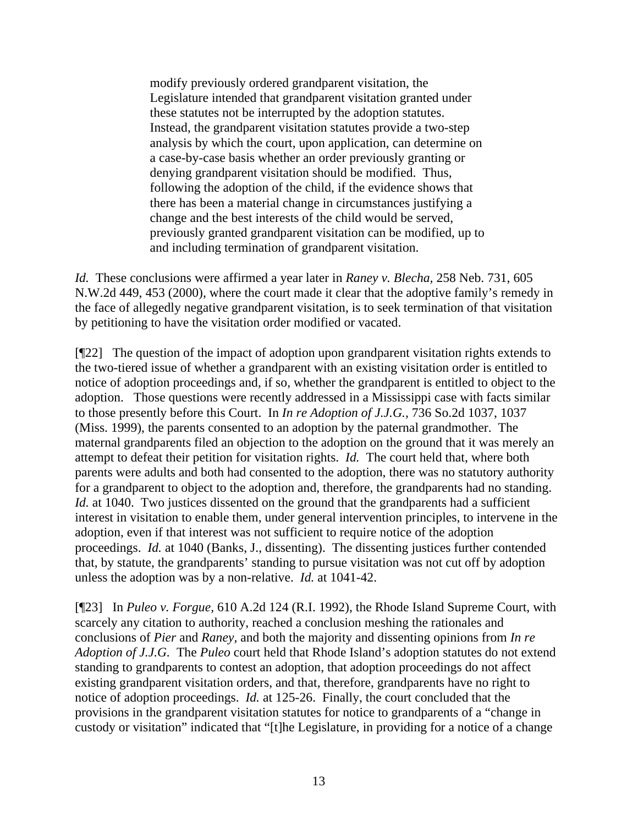modify previously ordered grandparent visitation, the Legislature intended that grandparent visitation granted under these statutes not be interrupted by the adoption statutes. Instead, the grandparent visitation statutes provide a two-step analysis by which the court, upon application, can determine on a case-by-case basis whether an order previously granting or denying grandparent visitation should be modified. Thus, following the adoption of the child, if the evidence shows that there has been a material change in circumstances justifying a change and the best interests of the child would be served, previously granted grandparent visitation can be modified, up to and including termination of grandparent visitation.

*Id.* These conclusions were affirmed a year later in *Raney v. Blecha,* 258 Neb. 731, 605 N.W.2d 449, 453 (2000), where the court made it clear that the adoptive family's remedy in the face of allegedly negative grandparent visitation, is to seek termination of that visitation by petitioning to have the visitation order modified or vacated.

[¶22] The question of the impact of adoption upon grandparent visitation rights extends to the two-tiered issue of whether a grandparent with an existing visitation order is entitled to notice of adoption proceedings and, if so, whether the grandparent is entitled to object to the adoption. Those questions were recently addressed in a Mississippi case with facts similar to those presently before this Court. In *In re Adoption of J.J.G.,* 736 So.2d 1037, 1037 (Miss. 1999), the parents consented to an adoption by the paternal grandmother. The maternal grandparents filed an objection to the adoption on the ground that it was merely an attempt to defeat their petition for visitation rights. *Id.* The court held that, where both parents were adults and both had consented to the adoption, there was no statutory authority for a grandparent to object to the adoption and, therefore, the grandparents had no standing. *Id.* at 1040. Two justices dissented on the ground that the grandparents had a sufficient interest in visitation to enable them, under general intervention principles, to intervene in the adoption, even if that interest was not sufficient to require notice of the adoption proceedings. *Id.* at 1040 (Banks, J., dissenting). The dissenting justices further contended that, by statute, the grandparents' standing to pursue visitation was not cut off by adoption unless the adoption was by a non-relative. *Id.* at 1041-42.

[¶23] In *Puleo v. Forgue,* 610 A.2d 124 (R.I. 1992), the Rhode Island Supreme Court, with scarcely any citation to authority, reached a conclusion meshing the rationales and conclusions of *Pier* and *Raney,* and both the majority and dissenting opinions from *In re Adoption of J.J.G.* The *Puleo* court held that Rhode Island's adoption statutes do not extend standing to grandparents to contest an adoption, that adoption proceedings do not affect existing grandparent visitation orders, and that, therefore, grandparents have no right to notice of adoption proceedings. *Id.* at 125-26. Finally, the court concluded that the provisions in the grandparent visitation statutes for notice to grandparents of a "change in custody or visitation" indicated that "[t]he Legislature, in providing for a notice of a change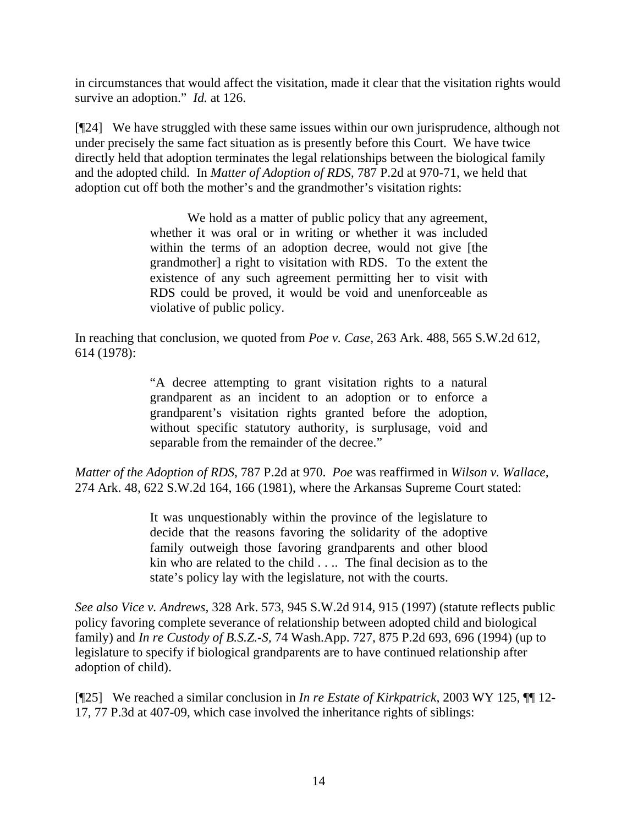in circumstances that would affect the visitation, made it clear that the visitation rights would survive an adoption." *Id.* at 126.

[¶24] We have struggled with these same issues within our own jurisprudence, although not under precisely the same fact situation as is presently before this Court. We have twice directly held that adoption terminates the legal relationships between the biological family and the adopted child. In *Matter of Adoption of RDS,* 787 P.2d at 970-71, we held that adoption cut off both the mother's and the grandmother's visitation rights:

> We hold as a matter of public policy that any agreement, whether it was oral or in writing or whether it was included within the terms of an adoption decree, would not give [the grandmother] a right to visitation with RDS. To the extent the existence of any such agreement permitting her to visit with RDS could be proved, it would be void and unenforceable as violative of public policy.

In reaching that conclusion, we quoted from *Poe v. Case,* 263 Ark. 488, 565 S.W.2d 612, 614 (1978):

> "A decree attempting to grant visitation rights to a natural grandparent as an incident to an adoption or to enforce a grandparent's visitation rights granted before the adoption, without specific statutory authority, is surplusage, void and separable from the remainder of the decree."

*Matter of the Adoption of RDS*, 787 P.2d at 970. *Poe* was reaffirmed in *Wilson v. Wallace,*  274 Ark. 48, 622 S.W.2d 164, 166 (1981), where the Arkansas Supreme Court stated:

> It was unquestionably within the province of the legislature to decide that the reasons favoring the solidarity of the adoptive family outweigh those favoring grandparents and other blood kin who are related to the child . . .. The final decision as to the state's policy lay with the legislature, not with the courts.

*See also Vice v. Andrews,* 328 Ark. 573, 945 S.W.2d 914, 915 (1997) (statute reflects public policy favoring complete severance of relationship between adopted child and biological family) and *In re Custody of B.S.Z.-S,* 74 Wash.App. 727, 875 P.2d 693, 696 (1994) (up to legislature to specify if biological grandparents are to have continued relationship after adoption of child).

[¶25] We reached a similar conclusion in *In re Estate of Kirkpatrick,* 2003 WY 125, ¶¶ 12- 17, 77 P.3d at 407-09, which case involved the inheritance rights of siblings: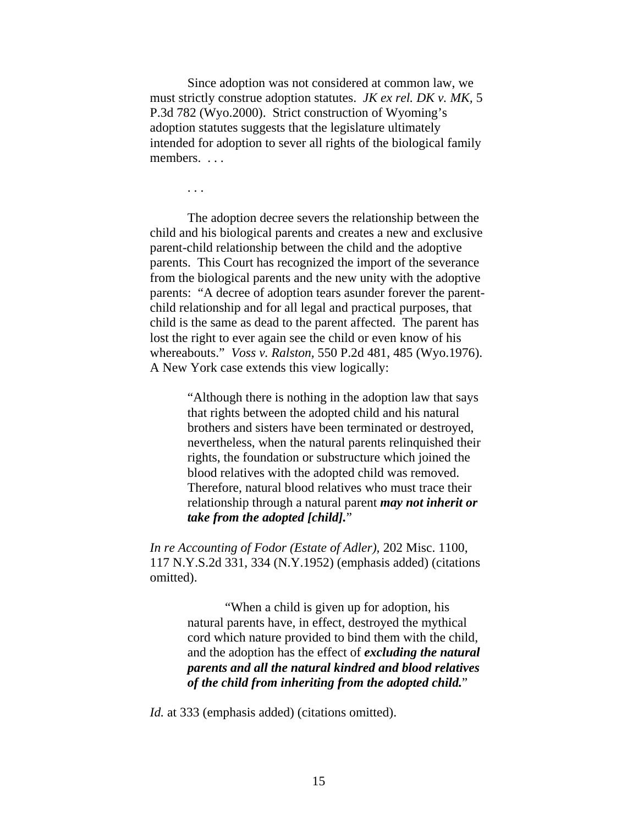Since adoption was not considered at common law, we must strictly construe adoption statutes. *JK ex rel. DK v. MK,* 5 P.3d 782 (Wyo.2000). Strict construction of Wyoming's adoption statutes suggests that the legislature ultimately intended for adoption to sever all rights of the biological family members. . . .

. . .

The adoption decree severs the relationship between the child and his biological parents and creates a new and exclusive parent-child relationship between the child and the adoptive parents. This Court has recognized the import of the severance from the biological parents and the new unity with the adoptive parents: "A decree of adoption tears asunder forever the parentchild relationship and for all legal and practical purposes, that child is the same as dead to the parent affected. The parent has lost the right to ever again see the child or even know of his whereabouts." *Voss v. Ralston,* 550 P.2d 481, 485 (Wyo.1976). A New York case extends this view logically:

> "Although there is nothing in the adoption law that says that rights between the adopted child and his natural brothers and sisters have been terminated or destroyed, nevertheless, when the natural parents relinquished their rights, the foundation or substructure which joined the blood relatives with the adopted child was removed. Therefore, natural blood relatives who must trace their relationship through a natural parent *may not inherit or take from the adopted [child].*"

*In re Accounting of Fodor (Estate of Adler),* 202 Misc. 1100, 117 N.Y.S.2d 331, 334 (N.Y.1952) (emphasis added) (citations omitted).

> "When a child is given up for adoption, his natural parents have, in effect, destroyed the mythical cord which nature provided to bind them with the child, and the adoption has the effect of *excluding the natural parents and all the natural kindred and blood relatives of the child from inheriting from the adopted child.*"

*Id.* at 333 (emphasis added) (citations omitted).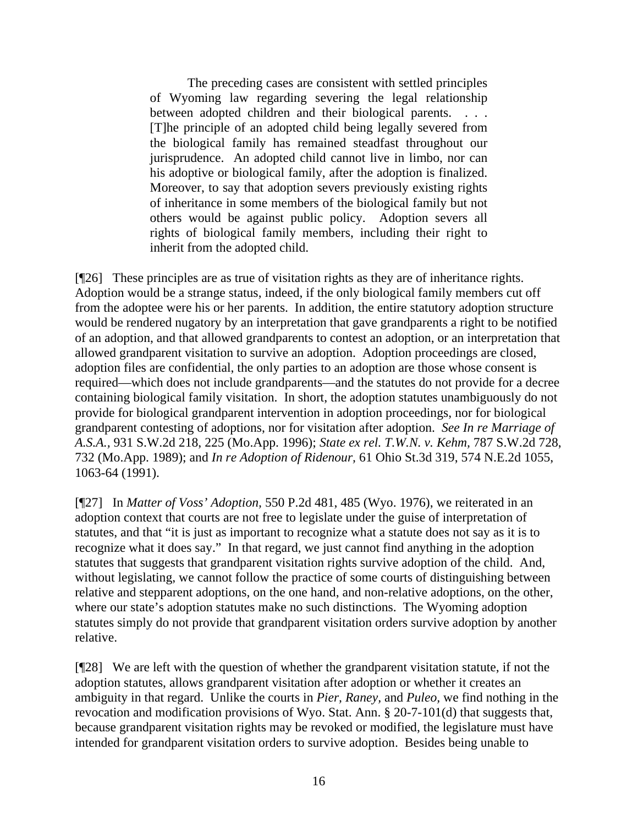The preceding cases are consistent with settled principles of Wyoming law regarding severing the legal relationship between adopted children and their biological parents. . . . [T]he principle of an adopted child being legally severed from the biological family has remained steadfast throughout our jurisprudence. An adopted child cannot live in limbo, nor can his adoptive or biological family, after the adoption is finalized. Moreover, to say that adoption severs previously existing rights of inheritance in some members of the biological family but not others would be against public policy. Adoption severs all rights of biological family members, including their right to inherit from the adopted child.

[¶26] These principles are as true of visitation rights as they are of inheritance rights. Adoption would be a strange status, indeed, if the only biological family members cut off from the adoptee were his or her parents. In addition, the entire statutory adoption structure would be rendered nugatory by an interpretation that gave grandparents a right to be notified of an adoption, and that allowed grandparents to contest an adoption, or an interpretation that allowed grandparent visitation to survive an adoption. Adoption proceedings are closed, adoption files are confidential, the only parties to an adoption are those whose consent is required—which does not include grandparents—and the statutes do not provide for a decree containing biological family visitation. In short, the adoption statutes unambiguously do not provide for biological grandparent intervention in adoption proceedings, nor for biological grandparent contesting of adoptions, nor for visitation after adoption. *See In re Marriage of A.S.A.,* 931 S.W.2d 218, 225 (Mo.App. 1996); *State ex rel. T.W.N. v. Kehm,* 787 S.W.2d 728, 732 (Mo.App. 1989); and *In re Adoption of Ridenour,* 61 Ohio St.3d 319, 574 N.E.2d 1055, 1063-64 (1991).

[¶27] In *Matter of Voss' Adoption,* 550 P.2d 481, 485 (Wyo. 1976), we reiterated in an adoption context that courts are not free to legislate under the guise of interpretation of statutes, and that "it is just as important to recognize what a statute does not say as it is to recognize what it does say." In that regard, we just cannot find anything in the adoption statutes that suggests that grandparent visitation rights survive adoption of the child. And, without legislating, we cannot follow the practice of some courts of distinguishing between relative and stepparent adoptions, on the one hand, and non-relative adoptions, on the other, where our state's adoption statutes make no such distinctions. The Wyoming adoption statutes simply do not provide that grandparent visitation orders survive adoption by another relative.

[¶28] We are left with the question of whether the grandparent visitation statute, if not the adoption statutes, allows grandparent visitation after adoption or whether it creates an ambiguity in that regard. Unlike the courts in *Pier, Raney,* and *Puleo,* we find nothing in the revocation and modification provisions of Wyo. Stat. Ann. § 20-7-101(d) that suggests that, because grandparent visitation rights may be revoked or modified, the legislature must have intended for grandparent visitation orders to survive adoption. Besides being unable to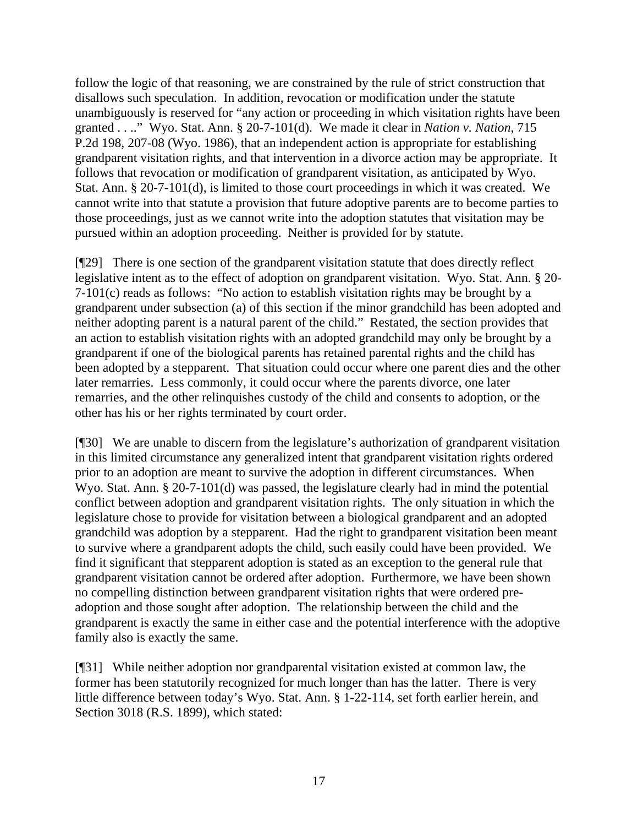follow the logic of that reasoning, we are constrained by the rule of strict construction that disallows such speculation. In addition, revocation or modification under the statute unambiguously is reserved for "any action or proceeding in which visitation rights have been granted . . .." Wyo. Stat. Ann. § 20-7-101(d). We made it clear in *Nation v. Nation,* 715 P.2d 198, 207-08 (Wyo. 1986), that an independent action is appropriate for establishing grandparent visitation rights, and that intervention in a divorce action may be appropriate. It follows that revocation or modification of grandparent visitation, as anticipated by Wyo. Stat. Ann. § 20-7-101(d), is limited to those court proceedings in which it was created. We cannot write into that statute a provision that future adoptive parents are to become parties to those proceedings, just as we cannot write into the adoption statutes that visitation may be pursued within an adoption proceeding. Neither is provided for by statute.

[¶29] There is one section of the grandparent visitation statute that does directly reflect legislative intent as to the effect of adoption on grandparent visitation. Wyo. Stat. Ann. § 20- 7-101(c) reads as follows: "No action to establish visitation rights may be brought by a grandparent under subsection (a) of this section if the minor grandchild has been adopted and neither adopting parent is a natural parent of the child." Restated, the section provides that an action to establish visitation rights with an adopted grandchild may only be brought by a grandparent if one of the biological parents has retained parental rights and the child has been adopted by a stepparent. That situation could occur where one parent dies and the other later remarries. Less commonly, it could occur where the parents divorce, one later remarries, and the other relinquishes custody of the child and consents to adoption, or the other has his or her rights terminated by court order.

[¶30] We are unable to discern from the legislature's authorization of grandparent visitation in this limited circumstance any generalized intent that grandparent visitation rights ordered prior to an adoption are meant to survive the adoption in different circumstances. When Wyo. Stat. Ann. § 20-7-101(d) was passed, the legislature clearly had in mind the potential conflict between adoption and grandparent visitation rights. The only situation in which the legislature chose to provide for visitation between a biological grandparent and an adopted grandchild was adoption by a stepparent. Had the right to grandparent visitation been meant to survive where a grandparent adopts the child, such easily could have been provided. We find it significant that stepparent adoption is stated as an exception to the general rule that grandparent visitation cannot be ordered after adoption. Furthermore, we have been shown no compelling distinction between grandparent visitation rights that were ordered preadoption and those sought after adoption. The relationship between the child and the grandparent is exactly the same in either case and the potential interference with the adoptive family also is exactly the same.

[¶31] While neither adoption nor grandparental visitation existed at common law, the former has been statutorily recognized for much longer than has the latter. There is very little difference between today's Wyo. Stat. Ann. § 1-22-114, set forth earlier herein, and Section 3018 (R.S. 1899), which stated: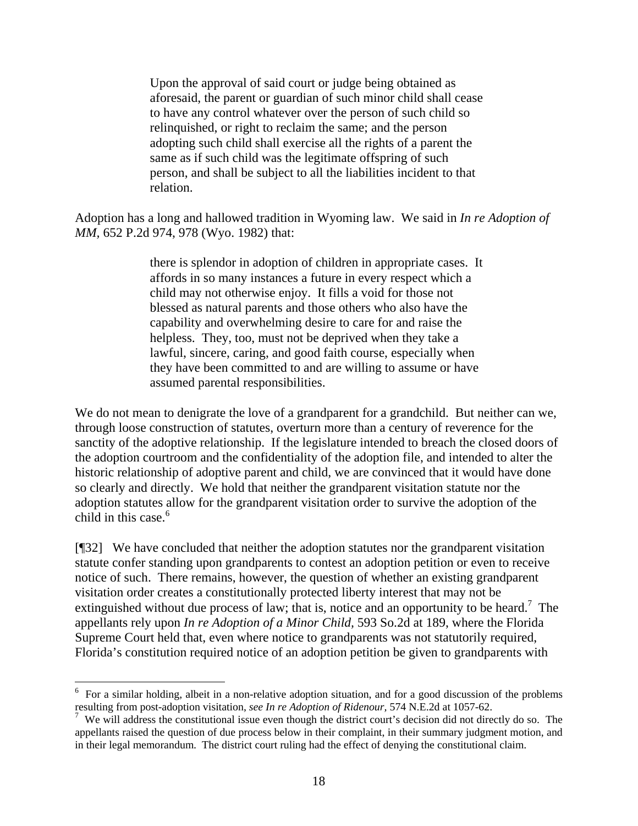Upon the approval of said court or judge being obtained as aforesaid, the parent or guardian of such minor child shall cease to have any control whatever over the person of such child so relinquished, or right to reclaim the same; and the person adopting such child shall exercise all the rights of a parent the same as if such child was the legitimate offspring of such person, and shall be subject to all the liabilities incident to that relation.

Adoption has a long and hallowed tradition in Wyoming law. We said in *In re Adoption of MM,* 652 P.2d 974, 978 (Wyo. 1982) that:

> there is splendor in adoption of children in appropriate cases. It affords in so many instances a future in every respect which a child may not otherwise enjoy. It fills a void for those not blessed as natural parents and those others who also have the capability and overwhelming desire to care for and raise the helpless. They, too, must not be deprived when they take a lawful, sincere, caring, and good faith course, especially when they have been committed to and are willing to assume or have assumed parental responsibilities.

We do not mean to denigrate the love of a grandparent for a grandchild. But neither can we, through loose construction of statutes, overturn more than a century of reverence for the sanctity of the adoptive relationship. If the legislature intended to breach the closed doors of the adoption courtroom and the confidentiality of the adoption file, and intended to alter the historic relationship of adoptive parent and child, we are convinced that it would have done so clearly and directly. We hold that neither the grandparent visitation statute nor the adoption statutes allow for the grandparent visitation order to survive the adoption of the child in this case.<sup>[6](#page-18-0)</sup>

[¶32] We have concluded that neither the adoption statutes nor the grandparent visitation statute confer standing upon grandparents to contest an adoption petition or even to receive notice of such. There remains, however, the question of whether an existing grandparent visitation order creates a constitutionally protected liberty interest that may not be extinguished without due process of law; that is, notice and an opportunity to be heard.<sup>[7](#page-18-1)</sup> The appellants rely upon *In re Adoption of a Minor Child,* 593 So.2d at 189, where the Florida Supreme Court held that, even where notice to grandparents was not statutorily required, Florida's constitution required notice of an adoption petition be given to grandparents with

<span id="page-18-0"></span><sup>&</sup>lt;sup>6</sup> For a similar holding, albeit in a non-relative adoption situation, and for a good discussion of the problems resulting from post-adoption visitation, *see In re Adoption of Ridenour,* 574 N.E.2d at 1057-62. 7

<span id="page-18-1"></span><sup>&</sup>lt;sup>7</sup> We will address the constitutional issue even though the district court's decision did not directly do so. The appellants raised the question of due process below in their complaint, in their summary judgment motion, and in their legal memorandum. The district court ruling had the effect of denying the constitutional claim.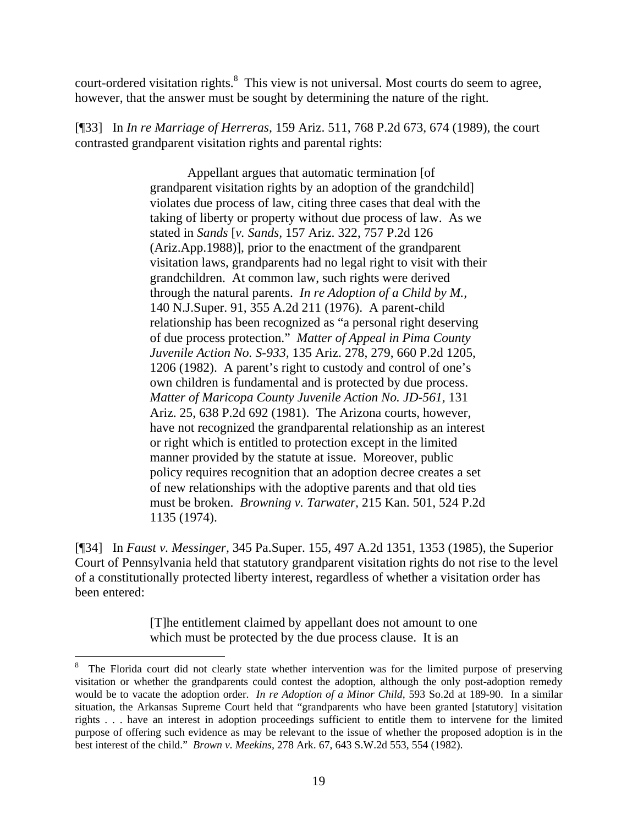court-ordered visitation rights. $<sup>8</sup>$  $<sup>8</sup>$  $<sup>8</sup>$  This view is not universal. Most courts do seem to agree,</sup> however, that the answer must be sought by determining the nature of the right.

[¶33] In *In re Marriage of Herreras,* 159 Ariz. 511, 768 P.2d 673, 674 (1989), the court contrasted grandparent visitation rights and parental rights:

> Appellant argues that automatic termination [of grandparent visitation rights by an adoption of the grandchild] violates due process of law, citing three cases that deal with the taking of liberty or property without due process of law. As we stated in *Sands* [*v. Sands,* 157 Ariz. 322, 757 P.2d 126 (Ariz.App.1988)], prior to the enactment of the grandparent visitation laws, grandparents had no legal right to visit with their grandchildren. At common law, such rights were derived through the natural parents. *In re Adoption of a Child by M.,*  140 N.J.Super. 91, 355 A.2d 211 (1976). A parent-child relationship has been recognized as "a personal right deserving of due process protection." *Matter of Appeal in Pima County Juvenile Action No. S-933,* 135 Ariz. 278, 279, 660 P.2d 1205, 1206 (1982). A parent's right to custody and control of one's own children is fundamental and is protected by due process. *Matter of Maricopa County Juvenile Action No. JD-561,* 131 Ariz. 25, 638 P.2d 692 (1981). The Arizona courts, however, have not recognized the grandparental relationship as an interest or right which is entitled to protection except in the limited manner provided by the statute at issue. Moreover, public policy requires recognition that an adoption decree creates a set of new relationships with the adoptive parents and that old ties must be broken. *Browning v. Tarwater,* 215 Kan. 501, 524 P.2d 1135 (1974).

[¶34] In *Faust v. Messinger,* 345 Pa.Super. 155, 497 A.2d 1351, 1353 (1985), the Superior Court of Pennsylvania held that statutory grandparent visitation rights do not rise to the level of a constitutionally protected liberty interest, regardless of whether a visitation order has been entered:

> [T]he entitlement claimed by appellant does not amount to one which must be protected by the due process clause. It is an

 $\overline{a}$ 

<span id="page-19-0"></span><sup>8</sup> The Florida court did not clearly state whether intervention was for the limited purpose of preserving visitation or whether the grandparents could contest the adoption, although the only post-adoption remedy would be to vacate the adoption order. *In re Adoption of a Minor Child*, 593 So.2d at 189-90. In a similar situation, the Arkansas Supreme Court held that "grandparents who have been granted [statutory] visitation rights . . . have an interest in adoption proceedings sufficient to entitle them to intervene for the limited purpose of offering such evidence as may be relevant to the issue of whether the proposed adoption is in the best interest of the child." *Brown v. Meekins,* 278 Ark. 67, 643 S.W.2d 553, 554 (1982).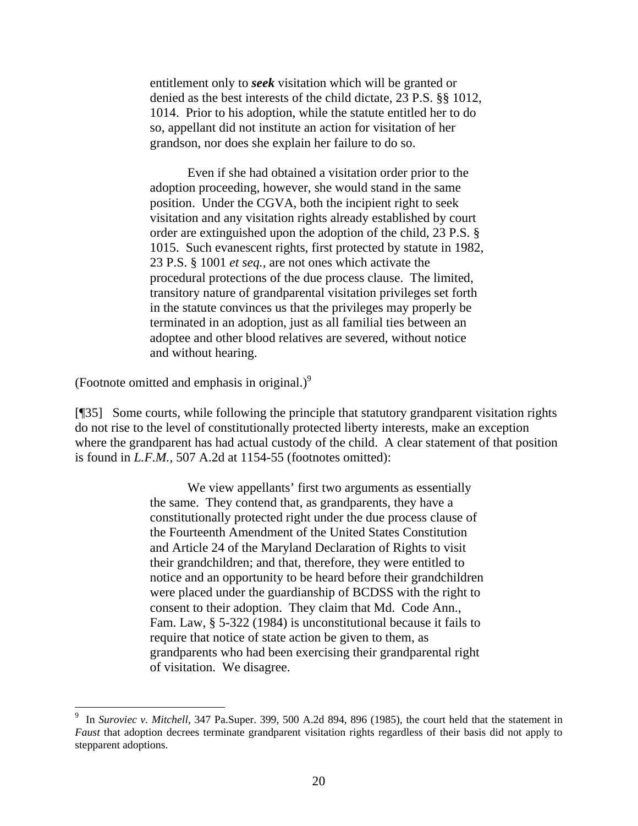entitlement only to *seek* visitation which will be granted or denied as the best interests of the child dictate, 23 P.S. §§ 1012, 1014. Prior to his adoption, while the statute entitled her to do so, appellant did not institute an action for visitation of her grandson, nor does she explain her failure to do so.

Even if she had obtained a visitation order prior to the adoption proceeding, however, she would stand in the same position. Under the CGVA, both the incipient right to seek visitation and any visitation rights already established by court order are extinguished upon the adoption of the child, 23 P.S. § 1015. Such evanescent rights, first protected by statute in 1982, 23 P.S. § 1001 *et seq.,* are not ones which activate the procedural protections of the due process clause. The limited, transitory nature of grandparental visitation privileges set forth in the statute convinces us that the privileges may properly be terminated in an adoption, just as all familial ties between an adoptee and other blood relatives are severed, without notice and without hearing.

(Footnote omitted and emphasis in original.)[9](#page-20-0)

[¶35] Some courts, while following the principle that statutory grandparent visitation rights do not rise to the level of constitutionally protected liberty interests, make an exception where the grandparent has had actual custody of the child. A clear statement of that position is found in *L.F.M.,* 507 A.2d at 1154-55 (footnotes omitted):

> We view appellants' first two arguments as essentially the same. They contend that, as grandparents, they have a constitutionally protected right under the due process clause of the Fourteenth Amendment of the United States Constitution and Article 24 of the Maryland Declaration of Rights to visit their grandchildren; and that, therefore, they were entitled to notice and an opportunity to be heard before their grandchildren were placed under the guardianship of BCDSS with the right to consent to their adoption. They claim that Md. Code Ann., Fam. Law, § 5-322 (1984) is unconstitutional because it fails to require that notice of state action be given to them, as grandparents who had been exercising their grandparental right of visitation. We disagree.

<span id="page-20-0"></span><sup>9</sup> In *Suroviec v. Mitchell,* 347 Pa.Super. 399, 500 A.2d 894, 896 (1985), the court held that the statement in *Faust* that adoption decrees terminate grandparent visitation rights regardless of their basis did not apply to stepparent adoptions.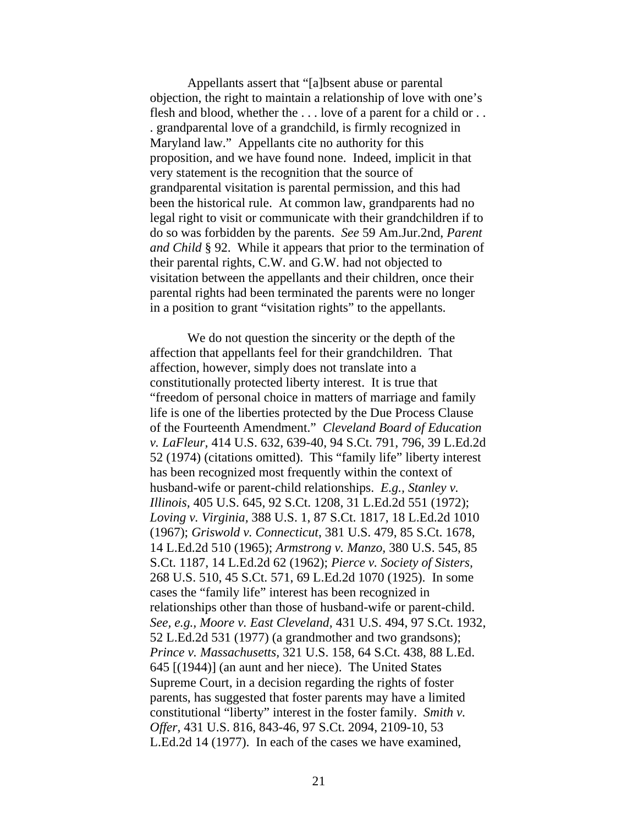Appellants assert that "[a]bsent abuse or parental objection, the right to maintain a relationship of love with one's flesh and blood, whether the . . . love of a parent for a child or . . . grandparental love of a grandchild, is firmly recognized in Maryland law." Appellants cite no authority for this proposition, and we have found none. Indeed, implicit in that very statement is the recognition that the source of grandparental visitation is parental permission, and this had been the historical rule. At common law, grandparents had no legal right to visit or communicate with their grandchildren if to do so was forbidden by the parents. *See* 59 Am.Jur.2nd, *Parent and Child* § 92. While it appears that prior to the termination of their parental rights, C.W. and G.W. had not objected to visitation between the appellants and their children, once their parental rights had been terminated the parents were no longer in a position to grant "visitation rights" to the appellants.

We do not question the sincerity or the depth of the affection that appellants feel for their grandchildren. That affection, however, simply does not translate into a constitutionally protected liberty interest. It is true that "freedom of personal choice in matters of marriage and family life is one of the liberties protected by the Due Process Clause of the Fourteenth Amendment." *Cleveland Board of Education v. LaFleur,* 414 U.S. 632, 639-40, 94 S.Ct. 791, 796, 39 L.Ed.2d 52 (1974) (citations omitted). This "family life" liberty interest has been recognized most frequently within the context of husband-wife or parent-child relationships. *E.g., Stanley v. Illinois,* 405 U.S. 645, 92 S.Ct. 1208, 31 L.Ed.2d 551 (1972); *Loving v. Virginia,* 388 U.S. 1, 87 S.Ct. 1817, 18 L.Ed.2d 1010 (1967); *Griswold v. Connecticut*, 381 U.S. 479, 85 S.Ct. 1678, 14 L.Ed.2d 510 (1965); *Armstrong v. Manzo,* 380 U.S. 545, 85 S.Ct. 1187, 14 L.Ed.2d 62 (1962); *Pierce v. Society of Sisters,*  268 U.S. 510, 45 S.Ct. 571, 69 L.Ed.2d 1070 (1925). In some cases the "family life" interest has been recognized in relationships other than those of husband-wife or parent-child. *See, e.g., Moore v. East Cleveland,* 431 U.S. 494, 97 S.Ct. 1932, 52 L.Ed.2d 531 (1977) (a grandmother and two grandsons); *Prince v. Massachusetts,* 321 U.S. 158, 64 S.Ct. 438, 88 L.Ed. 645 [(1944)] (an aunt and her niece). The United States Supreme Court, in a decision regarding the rights of foster parents, has suggested that foster parents may have a limited constitutional "liberty" interest in the foster family. *Smith v. Offer,* 431 U.S. 816, 843-46, 97 S.Ct. 2094, 2109-10, 53 L.Ed.2d 14 (1977). In each of the cases we have examined,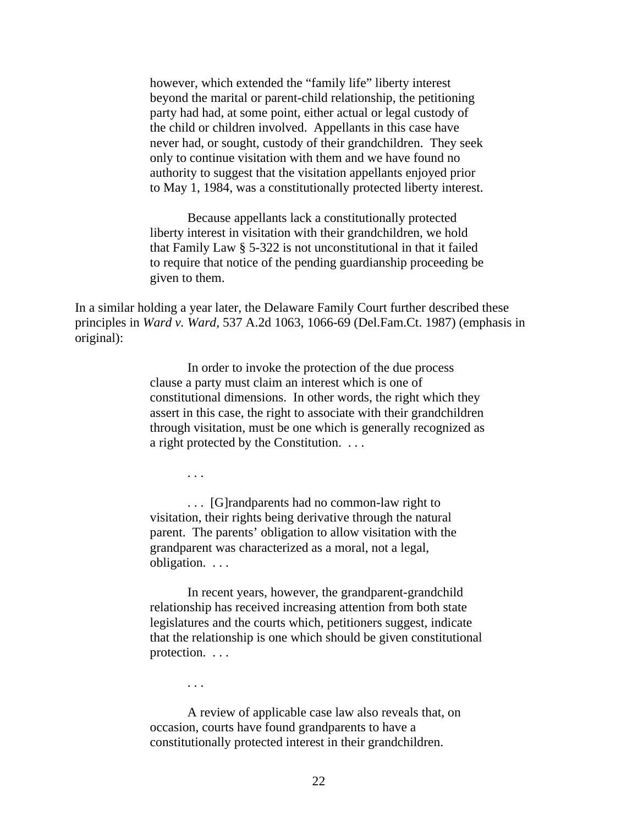however, which extended the "family life" liberty interest beyond the marital or parent-child relationship, the petitioning party had had, at some point, either actual or legal custody of the child or children involved. Appellants in this case have never had, or sought, custody of their grandchildren. They seek only to continue visitation with them and we have found no authority to suggest that the visitation appellants enjoyed prior to May 1, 1984, was a constitutionally protected liberty interest.

 Because appellants lack a constitutionally protected liberty interest in visitation with their grandchildren, we hold that Family Law § 5-322 is not unconstitutional in that it failed to require that notice of the pending guardianship proceeding be given to them.

In a similar holding a year later, the Delaware Family Court further described these principles in *Ward v. Ward,* 537 A.2d 1063, 1066-69 (Del.Fam.Ct. 1987) (emphasis in original):

> In order to invoke the protection of the due process clause a party must claim an interest which is one of constitutional dimensions. In other words, the right which they assert in this case, the right to associate with their grandchildren through visitation, must be one which is generally recognized as a right protected by the Constitution. . . .

> > . . .

. . . [G]randparents had no common-law right to visitation, their rights being derivative through the natural parent. The parents' obligation to allow visitation with the grandparent was characterized as a moral, not a legal, obligation. . . .

In recent years, however, the grandparent-grandchild relationship has received increasing attention from both state legislatures and the courts which, petitioners suggest, indicate that the relationship is one which should be given constitutional protection. . . .

. . .

A review of applicable case law also reveals that, on occasion, courts have found grandparents to have a constitutionally protected interest in their grandchildren.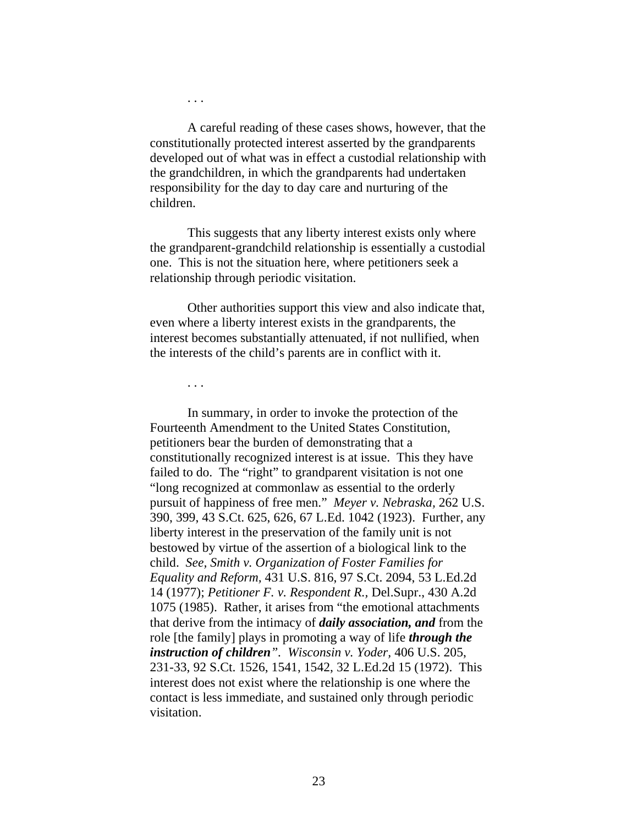A careful reading of these cases shows, however, that the constitutionally protected interest asserted by the grandparents developed out of what was in effect a custodial relationship with the grandchildren, in which the grandparents had undertaken responsibility for the day to day care and nurturing of the children.

This suggests that any liberty interest exists only where the grandparent-grandchild relationship is essentially a custodial one. This is not the situation here, where petitioners seek a relationship through periodic visitation.

Other authorities support this view and also indicate that, even where a liberty interest exists in the grandparents, the interest becomes substantially attenuated, if not nullified, when the interests of the child's parents are in conflict with it.

. . .

. . .

In summary, in order to invoke the protection of the Fourteenth Amendment to the United States Constitution, petitioners bear the burden of demonstrating that a constitutionally recognized interest is at issue. This they have failed to do. The "right" to grandparent visitation is not one "long recognized at commonlaw as essential to the orderly pursuit of happiness of free men." *Meyer v. Nebraska,* 262 U.S. 390, 399, 43 S.Ct. 625, 626, 67 L.Ed. 1042 (1923). Further, any liberty interest in the preservation of the family unit is not bestowed by virtue of the assertion of a biological link to the child. *See, Smith v. Organization of Foster Families for Equality and Reform,* 431 U.S. 816, 97 S.Ct. 2094, 53 L.Ed.2d 14 (1977); *Petitioner F. v. Respondent R.,* Del.Supr., 430 A.2d 1075 (1985). Rather, it arises from "the emotional attachments that derive from the intimacy of *daily association, and* from the role [the family] plays in promoting a way of life *through the instruction of children". Wisconsin v. Yoder,* 406 U.S. 205, 231-33, 92 S.Ct. 1526, 1541, 1542, 32 L.Ed.2d 15 (1972). This interest does not exist where the relationship is one where the contact is less immediate, and sustained only through periodic visitation.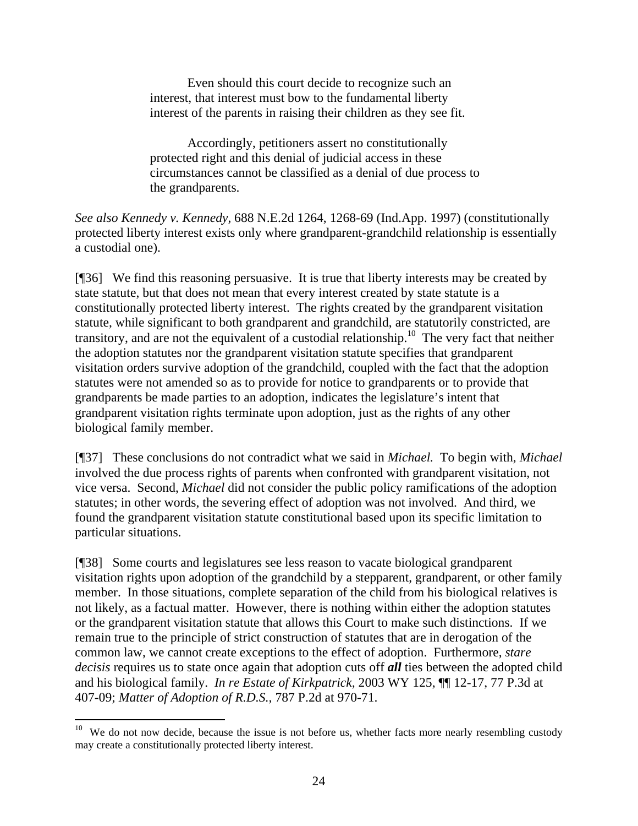Even should this court decide to recognize such an interest, that interest must bow to the fundamental liberty interest of the parents in raising their children as they see fit.

Accordingly, petitioners assert no constitutionally protected right and this denial of judicial access in these circumstances cannot be classified as a denial of due process to the grandparents.

*See also Kennedy v. Kennedy,* 688 N.E.2d 1264, 1268-69 (Ind.App. 1997) (constitutionally protected liberty interest exists only where grandparent-grandchild relationship is essentially a custodial one).

[¶36] We find this reasoning persuasive. It is true that liberty interests may be created by state statute, but that does not mean that every interest created by state statute is a constitutionally protected liberty interest. The rights created by the grandparent visitation statute, while significant to both grandparent and grandchild, are statutorily constricted, are transitory, and are not the equivalent of a custodial relationship.[10](#page-24-0) The very fact that neither the adoption statutes nor the grandparent visitation statute specifies that grandparent visitation orders survive adoption of the grandchild, coupled with the fact that the adoption statutes were not amended so as to provide for notice to grandparents or to provide that grandparents be made parties to an adoption, indicates the legislature's intent that grandparent visitation rights terminate upon adoption, just as the rights of any other biological family member.

[¶37] These conclusions do not contradict what we said in *Michael.* To begin with, *Michael*  involved the due process rights of parents when confronted with grandparent visitation, not vice versa. Second, *Michael* did not consider the public policy ramifications of the adoption statutes; in other words, the severing effect of adoption was not involved. And third, we found the grandparent visitation statute constitutional based upon its specific limitation to particular situations.

[¶38] Some courts and legislatures see less reason to vacate biological grandparent visitation rights upon adoption of the grandchild by a stepparent, grandparent, or other family member. In those situations, complete separation of the child from his biological relatives is not likely, as a factual matter. However, there is nothing within either the adoption statutes or the grandparent visitation statute that allows this Court to make such distinctions. If we remain true to the principle of strict construction of statutes that are in derogation of the common law, we cannot create exceptions to the effect of adoption. Furthermore, *stare decisis* requires us to state once again that adoption cuts off *all* ties between the adopted child and his biological family. *In re Estate of Kirkpatrick,* 2003 WY 125, ¶¶ 12-17, 77 P.3d at 407-09; *Matter of Adoption of R.D.S.,* 787 P.2d at 970-71.

<span id="page-24-0"></span> $10$  We do not now decide, because the issue is not before us, whether facts more nearly resembling custody may create a constitutionally protected liberty interest.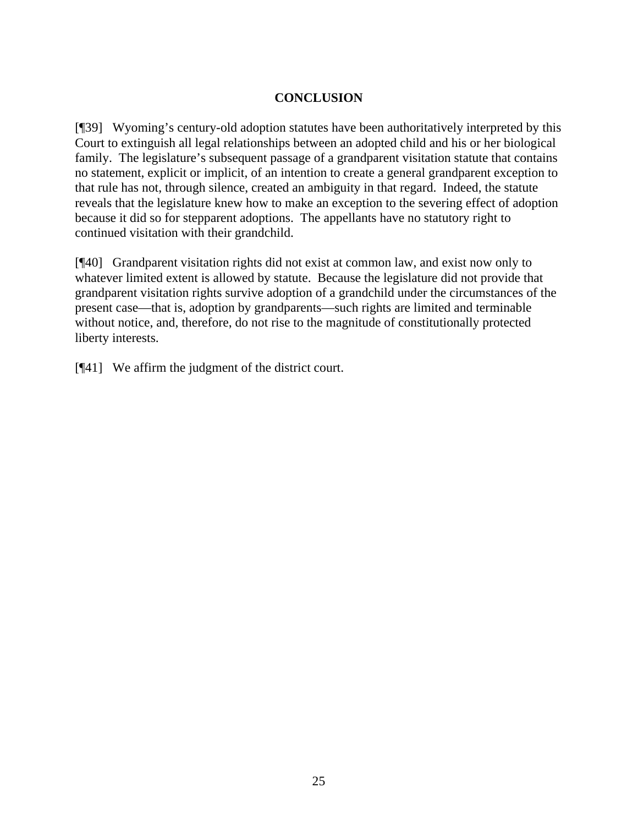# **CONCLUSION**

[¶39] Wyoming's century-old adoption statutes have been authoritatively interpreted by this Court to extinguish all legal relationships between an adopted child and his or her biological family. The legislature's subsequent passage of a grandparent visitation statute that contains no statement, explicit or implicit, of an intention to create a general grandparent exception to that rule has not, through silence, created an ambiguity in that regard. Indeed, the statute reveals that the legislature knew how to make an exception to the severing effect of adoption because it did so for stepparent adoptions. The appellants have no statutory right to continued visitation with their grandchild.

[¶40] Grandparent visitation rights did not exist at common law, and exist now only to whatever limited extent is allowed by statute. Because the legislature did not provide that grandparent visitation rights survive adoption of a grandchild under the circumstances of the present case—that is, adoption by grandparents—such rights are limited and terminable without notice, and, therefore, do not rise to the magnitude of constitutionally protected liberty interests.

[¶41] We affirm the judgment of the district court.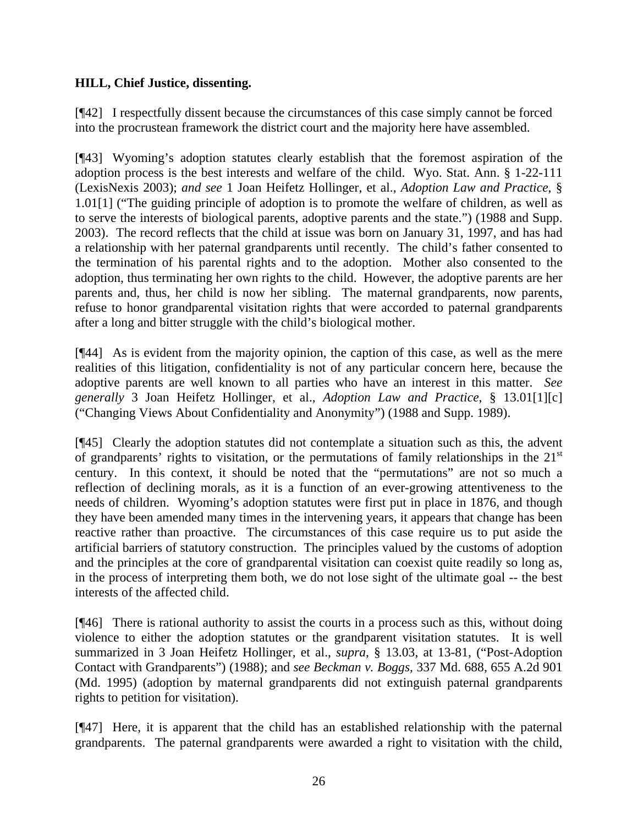# **HILL, Chief Justice, dissenting.**

[¶42] I respectfully dissent because the circumstances of this case simply cannot be forced into the procrustean framework the district court and the majority here have assembled.

[¶43] Wyoming's adoption statutes clearly establish that the foremost aspiration of the adoption process is the best interests and welfare of the child. Wyo. Stat. Ann. § 1-22-111 (LexisNexis 2003); *and see* 1 Joan Heifetz Hollinger, et al., *Adoption Law and Practice*, § 1.01[1] ("The guiding principle of adoption is to promote the welfare of children, as well as to serve the interests of biological parents, adoptive parents and the state.") (1988 and Supp. 2003). The record reflects that the child at issue was born on January 31, 1997, and has had a relationship with her paternal grandparents until recently. The child's father consented to the termination of his parental rights and to the adoption. Mother also consented to the adoption, thus terminating her own rights to the child. However, the adoptive parents are her parents and, thus, her child is now her sibling. The maternal grandparents, now parents, refuse to honor grandparental visitation rights that were accorded to paternal grandparents after a long and bitter struggle with the child's biological mother.

[¶44] As is evident from the majority opinion, the caption of this case, as well as the mere realities of this litigation, confidentiality is not of any particular concern here, because the adoptive parents are well known to all parties who have an interest in this matter. *See generally* 3 Joan Heifetz Hollinger, et al., *Adoption Law and Practice*, § 13.01[1][c] ("Changing Views About Confidentiality and Anonymity") (1988 and Supp. 1989).

[¶45] Clearly the adoption statutes did not contemplate a situation such as this, the advent of grandparents' rights to visitation, or the permutations of family relationships in the  $21<sup>st</sup>$ century. In this context, it should be noted that the "permutations" are not so much a reflection of declining morals, as it is a function of an ever-growing attentiveness to the needs of children. Wyoming's adoption statutes were first put in place in 1876, and though they have been amended many times in the intervening years, it appears that change has been reactive rather than proactive. The circumstances of this case require us to put aside the artificial barriers of statutory construction. The principles valued by the customs of adoption and the principles at the core of grandparental visitation can coexist quite readily so long as, in the process of interpreting them both, we do not lose sight of the ultimate goal -- the best interests of the affected child.

[¶46] There is rational authority to assist the courts in a process such as this, without doing violence to either the adoption statutes or the grandparent visitation statutes. It is well summarized in 3 Joan Heifetz Hollinger, et al., *supra*, § 13.03, at 13-81, ("Post-Adoption Contact with Grandparents") (1988); and *see Beckman v. Boggs*, 337 Md. 688, 655 A.2d 901 (Md. 1995) (adoption by maternal grandparents did not extinguish paternal grandparents rights to petition for visitation).

[¶47] Here, it is apparent that the child has an established relationship with the paternal grandparents. The paternal grandparents were awarded a right to visitation with the child,